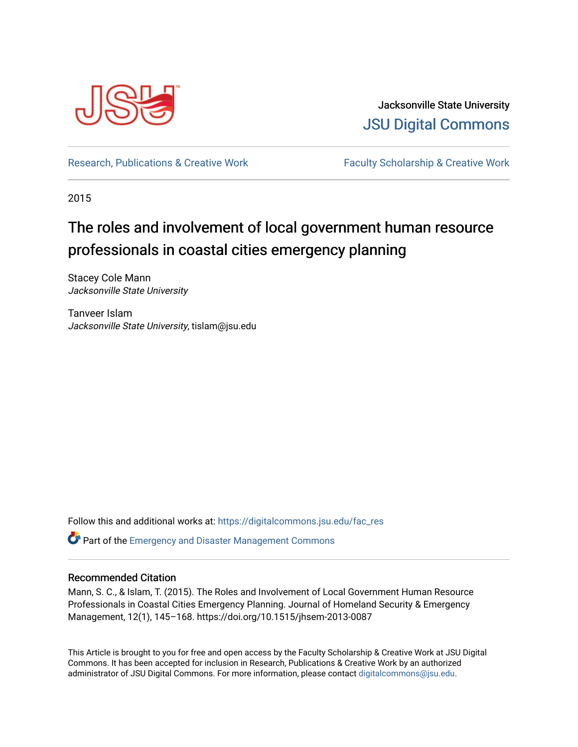

Jacksonville State University [JSU Digital Commons](https://digitalcommons.jsu.edu/) 

[Research, Publications & Creative Work](https://digitalcommons.jsu.edu/fac_res) Faculty Scholarship & Creative Work

2015

# The roles and involvement of local government human resource professionals in coastal cities emergency planning

Stacey Cole Mann Jacksonville State University

Tanveer Islam Jacksonville State University, tislam@jsu.edu

Follow this and additional works at: [https://digitalcommons.jsu.edu/fac\\_res](https://digitalcommons.jsu.edu/fac_res?utm_source=digitalcommons.jsu.edu%2Ffac_res%2F130&utm_medium=PDF&utm_campaign=PDFCoverPages) 

**C** Part of the Emergency and Disaster Management Commons

#### Recommended Citation

Mann, S. C., & Islam, T. (2015). The Roles and Involvement of Local Government Human Resource Professionals in Coastal Cities Emergency Planning. Journal of Homeland Security & Emergency Management, 12(1), 145–168. https://doi.org/10.1515/jhsem-2013-0087

This Article is brought to you for free and open access by the Faculty Scholarship & Creative Work at JSU Digital Commons. It has been accepted for inclusion in Research, Publications & Creative Work by an authorized administrator of JSU Digital Commons. For more information, please contact [digitalcommons@jsu.edu.](mailto:digitalcommons@jsu.edu)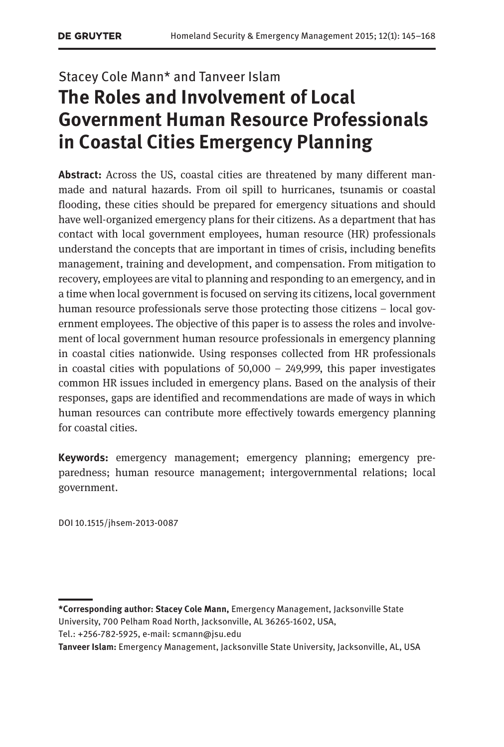# Stacey Cole Mann\* and Tanveer Islam **The Roles and Involvement of Local Government Human Resource Professionals in Coastal Cities Emergency Planning**

**Abstract:** Across the US, coastal cities are threatened by many different manmade and natural hazards. From oil spill to hurricanes, tsunamis or coastal flooding, these cities should be prepared for emergency situations and should have well-organized emergency plans for their citizens. As a department that has contact with local government employees, human resource (HR) professionals understand the concepts that are important in times of crisis, including benefits management, training and development, and compensation. From mitigation to recovery, employees are vital to planning and responding to an emergency, and in a time when local government is focused on serving its citizens, local government human resource professionals serve those protecting those citizens – local government employees. The objective of this paper is to assess the roles and involvement of local government human resource professionals in emergency planning in coastal cities nationwide. Using responses collected from HR professionals in coastal cities with populations of  $50,000 - 249,999$ , this paper investigates common HR issues included in emergency plans. Based on the analysis of their responses, gaps are identified and recommendations are made of ways in which human resources can contribute more effectively towards emergency planning for coastal cities.

**Keywords:** emergency management; emergency planning; emergency preparedness; human resource management; intergovernmental relations; local government.

DOI 10.1515/jhsem-2013-0087

**\*Corresponding author: Stacey Cole Mann,** Emergency Management, Jacksonville State University, 700 Pelham Road North, Jacksonville, AL 36265-1602, USA, Tel.: +256-782-5925, e-mail: scmann@jsu.edu

**Tanveer Islam:** Emergency Management, Jacksonville State University, Jacksonville, AL, USA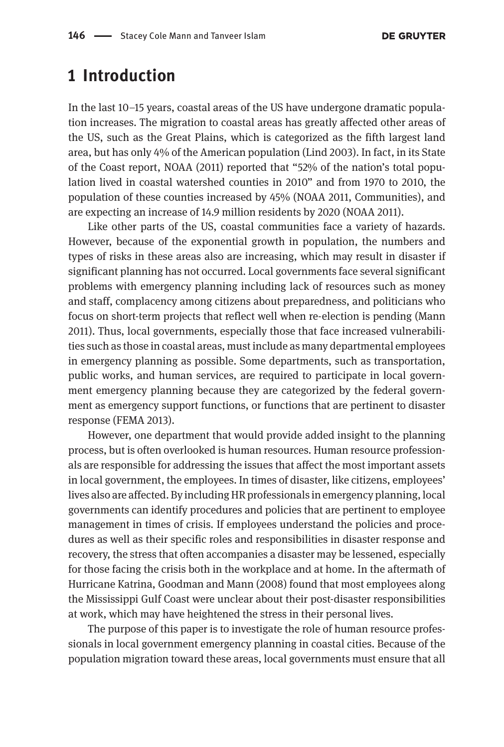# **1 Introduction**

In the last 10–15 years, coastal areas of the US have undergone dramatic population increases. The migration to coastal areas has greatly affected other areas of the US, such as the Great Plains, which is categorized as the fifth largest land area, but has only 4% of the American population (Lind 2003). In fact, in its State of the Coast report, NOAA (2011) reported that "52% of the nation's total population lived in coastal watershed counties in 2010" and from 1970 to 2010, the population of these counties increased by 45% (NOAA 2011, Communities), and are expecting an increase of 14.9 million residents by 2020 (NOAA 2011).

Like other parts of the US, coastal communities face a variety of hazards. However, because of the exponential growth in population, the numbers and types of risks in these areas also are increasing, which may result in disaster if significant planning has not occurred. Local governments face several significant problems with emergency planning including lack of resources such as money and staff, complacency among citizens about preparedness, and politicians who focus on short-term projects that reflect well when re-election is pending (Mann 2011). Thus, local governments, especially those that face increased vulnerabilities such as those in coastal areas, must include as many departmental employees in emergency planning as possible. Some departments, such as transportation, public works, and human services, are required to participate in local government emergency planning because they are categorized by the federal government as emergency support functions, or functions that are pertinent to disaster response (FEMA 2013).

However, one department that would provide added insight to the planning process, but is often overlooked is human resources. Human resource professionals are responsible for addressing the issues that affect the most important assets in local government, the employees. In times of disaster, like citizens, employees' lives also are affected. By including HR professionals in emergency planning, local governments can identify procedures and policies that are pertinent to employee management in times of crisis. If employees understand the policies and procedures as well as their specific roles and responsibilities in disaster response and recovery, the stress that often accompanies a disaster may be lessened, especially for those facing the crisis both in the workplace and at home. In the aftermath of Hurricane Katrina, Goodman and Mann (2008) found that most employees along the Mississippi Gulf Coast were unclear about their post-disaster responsibilities at work, which may have heightened the stress in their personal lives.

The purpose of this paper is to investigate the role of human resource professionals in local government emergency planning in coastal cities. Because of the population migration toward these areas, local governments must ensure that all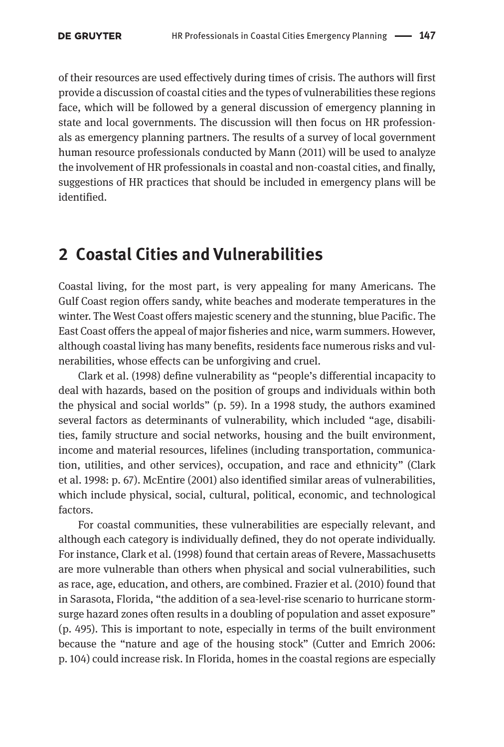of their resources are used effectively during times of crisis. The authors will first provide a discussion of coastal cities and the types of vulnerabilities these regions face, which will be followed by a general discussion of emergency planning in state and local governments. The discussion will then focus on HR professionals as emergency planning partners. The results of a survey of local government human resource professionals conducted by Mann (2011) will be used to analyze the involvement of HR professionals in coastal and non-coastal cities, and finally, suggestions of HR practices that should be included in emergency plans will be identified.

# **2 Coastal Cities and Vulnerabilities**

Coastal living, for the most part, is very appealing for many Americans. The Gulf Coast region offers sandy, white beaches and moderate temperatures in the winter. The West Coast offers majestic scenery and the stunning, blue Pacific. The East Coast offers the appeal of major fisheries and nice, warm summers. However, although coastal living has many benefits, residents face numerous risks and vulnerabilities, whose effects can be unforgiving and cruel.

Clark et al. (1998) define vulnerability as "people's differential incapacity to deal with hazards, based on the position of groups and individuals within both the physical and social worlds" (p. 59). In a 1998 study, the authors examined several factors as determinants of vulnerability, which included "age, disabilities, family structure and social networks, housing and the built environment, income and material resources, lifelines (including transportation, communication, utilities, and other services), occupation, and race and ethnicity" (Clark et al. 1998: p. 67). McEntire (2001) also identified similar areas of vulnerabilities, which include physical, social, cultural, political, economic, and technological factors.

For coastal communities, these vulnerabilities are especially relevant, and although each category is individually defined, they do not operate individually. For instance, Clark et al. (1998) found that certain areas of Revere, Massachusetts are more vulnerable than others when physical and social vulnerabilities, such as race, age, education, and others, are combined. Frazier et al. (2010) found that in Sarasota, Florida, "the addition of a sea-level-rise scenario to hurricane stormsurge hazard zones often results in a doubling of population and asset exposure" (p. 495). This is important to note, especially in terms of the built environment because the "nature and age of the housing stock" (Cutter and Emrich 2006: p. 104) could increase risk. In Florida, homes in the coastal regions are especially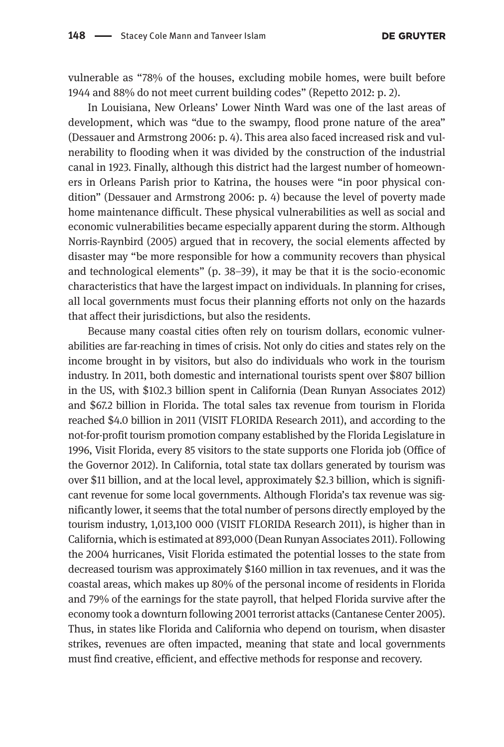vulnerable as "78% of the houses, excluding mobile homes, were built before 1944 and 88% do not meet current building codes" (Repetto 2012: p. 2).

In Louisiana, New Orleans' Lower Ninth Ward was one of the last areas of development, which was "due to the swampy, flood prone nature of the area" (Dessauer and Armstrong 2006: p. 4). This area also faced increased risk and vulnerability to flooding when it was divided by the construction of the industrial canal in 1923. Finally, although this district had the largest number of homeowners in Orleans Parish prior to Katrina, the houses were "in poor physical condition" (Dessauer and Armstrong 2006: p. 4) because the level of poverty made home maintenance difficult. These physical vulnerabilities as well as social and economic vulnerabilities became especially apparent during the storm. Although Norris-Raynbird (2005) argued that in recovery, the social elements affected by disaster may "be more responsible for how a community recovers than physical and technological elements" (p. 38–39), it may be that it is the socio-economic characteristics that have the largest impact on individuals. In planning for crises, all local governments must focus their planning efforts not only on the hazards that affect their jurisdictions, but also the residents.

Because many coastal cities often rely on tourism dollars, economic vulnerabilities are far-reaching in times of crisis. Not only do cities and states rely on the income brought in by visitors, but also do individuals who work in the tourism industry. In 2011, both domestic and international tourists spent over \$807 billion in the US, with \$102.3 billion spent in California (Dean Runyan Associates 2012) and \$67.2 billion in Florida. The total sales tax revenue from tourism in Florida reached \$4.0 billion in 2011 (VISIT FLORIDA Research 2011), and according to the not-for-profit tourism promotion company established by the Florida Legislature in 1996, Visit Florida, every 85 visitors to the state supports one Florida job (Office of the Governor 2012). In California, total state tax dollars generated by tourism was over \$11 billion, and at the local level, approximately \$2.3 billion, which is significant revenue for some local governments. Although Florida's tax revenue was significantly lower, it seems that the total number of persons directly employed by the tourism industry, 1,013,100 000 (VISIT FLORIDA Research 2011), is higher than in California, which is estimated at 893,000 (Dean Runyan Associates 2011). Following the 2004 hurricanes, Visit Florida estimated the potential losses to the state from decreased tourism was approximately \$160 million in tax revenues, and it was the coastal areas, which makes up 80% of the personal income of residents in Florida and 79% of the earnings for the state payroll, that helped Florida survive after the economy took a downturn following 2001 terrorist attacks (Cantanese Center 2005). Thus, in states like Florida and California who depend on tourism, when disaster strikes, revenues are often impacted, meaning that state and local governments must find creative, efficient, and effective methods for response and recovery.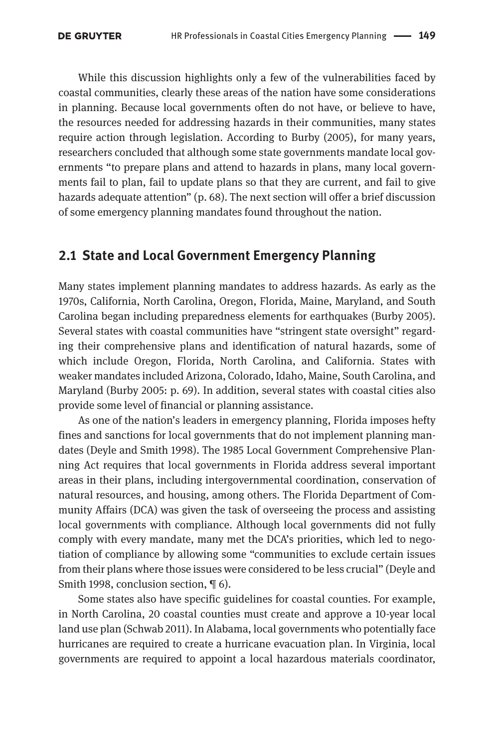While this discussion highlights only a few of the vulnerabilities faced by coastal communities, clearly these areas of the nation have some considerations in planning. Because local governments often do not have, or believe to have, the resources needed for addressing hazards in their communities, many states require action through legislation. According to Burby (2005), for many years, researchers concluded that although some state governments mandate local governments "to prepare plans and attend to hazards in plans, many local governments fail to plan, fail to update plans so that they are current, and fail to give hazards adequate attention" (p. 68). The next section will offer a brief discussion of some emergency planning mandates found throughout the nation.

### **2.1 State and Local Government Emergency Planning**

Many states implement planning mandates to address hazards. As early as the 1970s, California, North Carolina, Oregon, Florida, Maine, Maryland, and South Carolina began including preparedness elements for earthquakes (Burby 2005). Several states with coastal communities have "stringent state oversight" regarding their comprehensive plans and identification of natural hazards, some of which include Oregon, Florida, North Carolina, and California. States with weaker mandates included Arizona, Colorado, Idaho, Maine, South Carolina, and Maryland (Burby 2005: p. 69). In addition, several states with coastal cities also provide some level of financial or planning assistance.

As one of the nation's leaders in emergency planning, Florida imposes hefty fines and sanctions for local governments that do not implement planning mandates (Deyle and Smith 1998). The 1985 Local Government Comprehensive Planning Act requires that local governments in Florida address several important areas in their plans, including intergovernmental coordination, conservation of natural resources, and housing, among others. The Florida Department of Community Affairs (DCA) was given the task of overseeing the process and assisting local governments with compliance. Although local governments did not fully comply with every mandate, many met the DCA's priorities, which led to negotiation of compliance by allowing some "communities to exclude certain issues from their plans where those issues were considered to be less crucial" (Deyle and Smith 1998, conclusion section, ¶ 6).

Some states also have specific guidelines for coastal counties. For example, in North Carolina, 20 coastal counties must create and approve a 10-year local land use plan (Schwab 2011). In Alabama, local governments who potentially face hurricanes are required to create a hurricane evacuation plan. In Virginia, local governments are required to appoint a local hazardous materials coordinator,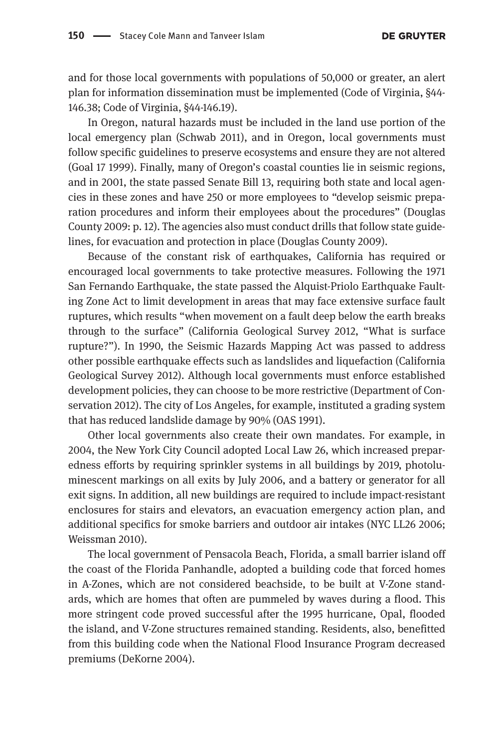and for those local governments with populations of 50,000 or greater, an alert plan for information dissemination must be implemented (Code of Virginia, §44- 146.38; Code of Virginia, §44-146.19).

In Oregon, natural hazards must be included in the land use portion of the local emergency plan (Schwab 2011), and in Oregon, local governments must follow specific guidelines to preserve ecosystems and ensure they are not altered (Goal 17 1999). Finally, many of Oregon's coastal counties lie in seismic regions, and in 2001, the state passed Senate Bill 13, requiring both state and local agencies in these zones and have 250 or more employees to "develop seismic preparation procedures and inform their employees about the procedures" (Douglas County 2009: p. 12). The agencies also must conduct drills that follow state guidelines, for evacuation and protection in place (Douglas County 2009).

Because of the constant risk of earthquakes, California has required or encouraged local governments to take protective measures. Following the 1971 San Fernando Earthquake, the state passed the Alquist-Priolo Earthquake Faulting Zone Act to limit development in areas that may face extensive surface fault ruptures, which results "when movement on a fault deep below the earth breaks through to the surface" (California Geological Survey 2012, "What is surface rupture?"). In 1990, the Seismic Hazards Mapping Act was passed to address other possible earthquake effects such as landslides and liquefaction (California Geological Survey 2012). Although local governments must enforce established development policies, they can choose to be more restrictive (Department of Conservation 2012). The city of Los Angeles, for example, instituted a grading system that has reduced landslide damage by 90% (OAS 1991).

Other local governments also create their own mandates. For example, in 2004, the New York City Council adopted Local Law 26, which increased preparedness efforts by requiring sprinkler systems in all buildings by 2019, photoluminescent markings on all exits by July 2006, and a battery or generator for all exit signs. In addition, all new buildings are required to include impact-resistant enclosures for stairs and elevators, an evacuation emergency action plan, and additional specifics for smoke barriers and outdoor air intakes (NYC LL26 2006; Weissman 2010).

The local government of Pensacola Beach, Florida, a small barrier island off the coast of the Florida Panhandle, adopted a building code that forced homes in A-Zones, which are not considered beachside, to be built at V-Zone standards, which are homes that often are pummeled by waves during a flood. This more stringent code proved successful after the 1995 hurricane, Opal, flooded the island, and V-Zone structures remained standing. Residents, also, benefitted from this building code when the National Flood Insurance Program decreased premiums (DeKorne 2004).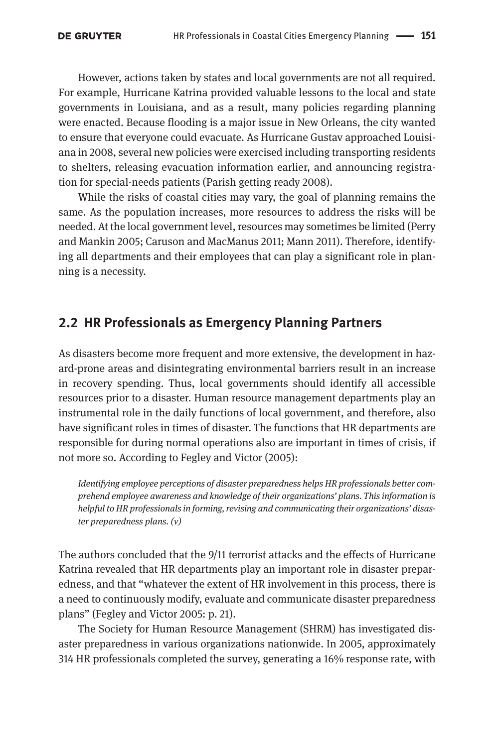However, actions taken by states and local governments are not all required. For example, Hurricane Katrina provided valuable lessons to the local and state governments in Louisiana, and as a result, many policies regarding planning were enacted. Because flooding is a major issue in New Orleans, the city wanted to ensure that everyone could evacuate. As Hurricane Gustav approached Louisiana in 2008, several new policies were exercised including transporting residents to shelters, releasing evacuation information earlier, and announcing registration for special-needs patients (Parish getting ready 2008).

While the risks of coastal cities may vary, the goal of planning remains the same. As the population increases, more resources to address the risks will be needed. At the local government level, resources may sometimes be limited (Perry and Mankin 2005; Caruson and MacManus 2011; Mann 2011). Therefore, identifying all departments and their employees that can play a significant role in planning is a necessity.

### **2.2 HR Professionals as Emergency Planning Partners**

As disasters become more frequent and more extensive, the development in hazard-prone areas and disintegrating environmental barriers result in an increase in recovery spending. Thus, local governments should identify all accessible resources prior to a disaster. Human resource management departments play an instrumental role in the daily functions of local government, and therefore, also have significant roles in times of disaster. The functions that HR departments are responsible for during normal operations also are important in times of crisis, if not more so. According to Fegley and Victor (2005):

*Identifying employee perceptions of disaster preparedness helps HR professionals better comprehend employee awareness and knowledge of their organizations' plans. This information is helpful to HR professionals in forming, revising and communicating their organizations' disaster preparedness plans. (v)*

The authors concluded that the 9/11 terrorist attacks and the effects of Hurricane Katrina revealed that HR departments play an important role in disaster preparedness, and that "whatever the extent of HR involvement in this process, there is a need to continuously modify, evaluate and communicate disaster preparedness plans" (Fegley and Victor 2005: p. 21).

The Society for Human Resource Management (SHRM) has investigated disaster preparedness in various organizations nationwide. In 2005, approximately 314 HR professionals completed the survey, generating a 16% response rate, with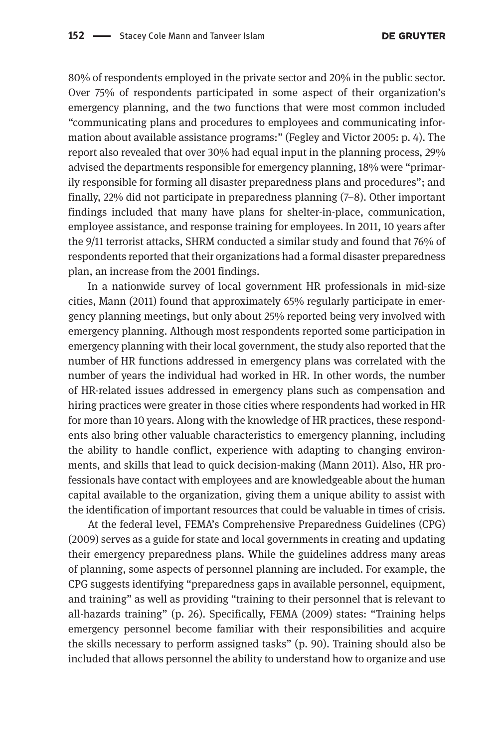80% of respondents employed in the private sector and 20% in the public sector. Over 75% of respondents participated in some aspect of their organization's emergency planning, and the two functions that were most common included "communicating plans and procedures to employees and communicating information about available assistance programs:" (Fegley and Victor 2005: p. 4). The report also revealed that over 30% had equal input in the planning process, 29% advised the departments responsible for emergency planning, 18% were "primarily responsible for forming all disaster preparedness plans and procedures"; and finally, 22% did not participate in preparedness planning (7–8). Other important findings included that many have plans for shelter-in-place, communication, employee assistance, and response training for employees. In 2011, 10 years after the 9/11 terrorist attacks, SHRM conducted a similar study and found that 76% of respondents reported that their organizations had a formal disaster preparedness plan, an increase from the 2001 findings.

In a nationwide survey of local government HR professionals in mid-size cities, Mann (2011) found that approximately 65% regularly participate in emergency planning meetings, but only about 25% reported being very involved with emergency planning. Although most respondents reported some participation in emergency planning with their local government, the study also reported that the number of HR functions addressed in emergency plans was correlated with the number of years the individual had worked in HR. In other words, the number of HR-related issues addressed in emergency plans such as compensation and hiring practices were greater in those cities where respondents had worked in HR for more than 10 years. Along with the knowledge of HR practices, these respondents also bring other valuable characteristics to emergency planning, including the ability to handle conflict, experience with adapting to changing environments, and skills that lead to quick decision-making (Mann 2011). Also, HR professionals have contact with employees and are knowledgeable about the human capital available to the organization, giving them a unique ability to assist with the identification of important resources that could be valuable in times of crisis.

At the federal level, FEMA's Comprehensive Preparedness Guidelines (CPG) (2009) serves as a guide for state and local governments in creating and updating their emergency preparedness plans. While the guidelines address many areas of planning, some aspects of personnel planning are included. For example, the CPG suggests identifying "preparedness gaps in available personnel, equipment, and training" as well as providing "training to their personnel that is relevant to all-hazards training" (p. 26). Specifically, FEMA (2009) states: "Training helps emergency personnel become familiar with their responsibilities and acquire the skills necessary to perform assigned tasks" (p. 90). Training should also be included that allows personnel the ability to understand how to organize and use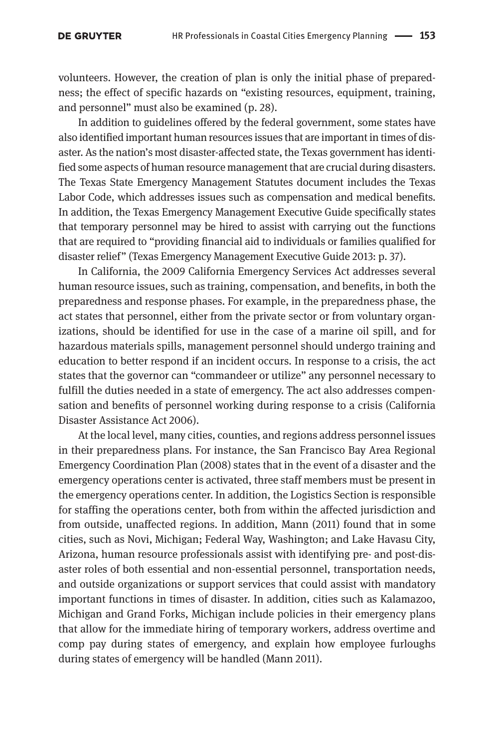volunteers. However, the creation of plan is only the initial phase of preparedness; the effect of specific hazards on "existing resources, equipment, training, and personnel" must also be examined (p. 28).

In addition to guidelines offered by the federal government, some states have also identified important human resources issues that are important in times of disaster. As the nation's most disaster-affected state, the Texas government has identified some aspects of human resource management that are crucial during disasters. The Texas State Emergency Management Statutes document includes the Texas Labor Code, which addresses issues such as compensation and medical benefits. In addition, the Texas Emergency Management Executive Guide specifically states that temporary personnel may be hired to assist with carrying out the functions that are required to "providing financial aid to individuals or families qualified for disaster relief" (Texas Emergency Management Executive Guide 2013: p. 37).

In California, the 2009 California Emergency Services Act addresses several human resource issues, such as training, compensation, and benefits, in both the preparedness and response phases. For example, in the preparedness phase, the act states that personnel, either from the private sector or from voluntary organizations, should be identified for use in the case of a marine oil spill, and for hazardous materials spills, management personnel should undergo training and education to better respond if an incident occurs. In response to a crisis, the act states that the governor can "commandeer or utilize" any personnel necessary to fulfill the duties needed in a state of emergency. The act also addresses compensation and benefits of personnel working during response to a crisis (California Disaster Assistance Act 2006).

At the local level, many cities, counties, and regions address personnel issues in their preparedness plans. For instance, the San Francisco Bay Area Regional Emergency Coordination Plan (2008) states that in the event of a disaster and the emergency operations center is activated, three staff members must be present in the emergency operations center. In addition, the Logistics Section is responsible for staffing the operations center, both from within the affected jurisdiction and from outside, unaffected regions. In addition, Mann (2011) found that in some cities, such as Novi, Michigan; Federal Way, Washington; and Lake Havasu City, Arizona, human resource professionals assist with identifying pre- and post-disaster roles of both essential and non-essential personnel, transportation needs, and outside organizations or support services that could assist with mandatory important functions in times of disaster. In addition, cities such as Kalamazoo, Michigan and Grand Forks, Michigan include policies in their emergency plans that allow for the immediate hiring of temporary workers, address overtime and comp pay during states of emergency, and explain how employee furloughs during states of emergency will be handled (Mann 2011).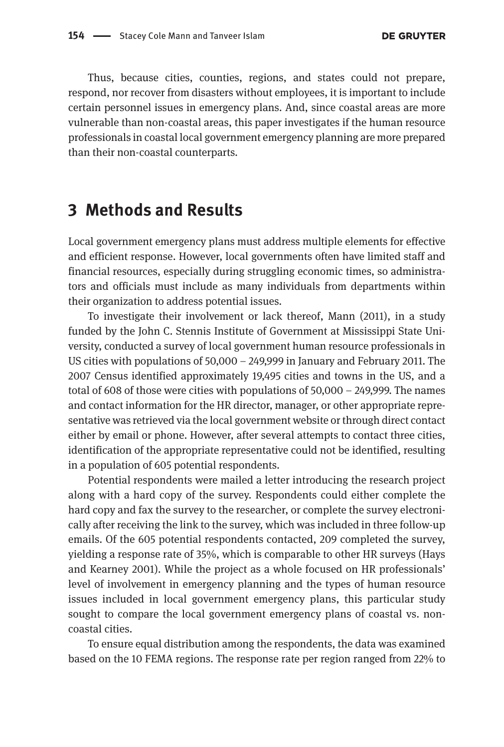Thus, because cities, counties, regions, and states could not prepare, respond, nor recover from disasters without employees, it is important to include certain personnel issues in emergency plans. And, since coastal areas are more vulnerable than non-coastal areas, this paper investigates if the human resource professionals in coastal local government emergency planning are more prepared than their non-coastal counterparts.

## **3 Methods and Results**

Local government emergency plans must address multiple elements for effective and efficient response. However, local governments often have limited staff and financial resources, especially during struggling economic times, so administrators and officials must include as many individuals from departments within their organization to address potential issues.

To investigate their involvement or lack thereof, Mann (2011), in a study funded by the John C. Stennis Institute of Government at Mississippi State University, conducted a survey of local government human resource professionals in US cities with populations of 50,000 – 249,999 in January and February 2011. The 2007 Census identified approximately 19,495 cities and towns in the US, and a total of 608 of those were cities with populations of 50,000 – 249,999. The names and contact information for the HR director, manager, or other appropriate representative was retrieved via the local government website or through direct contact either by email or phone. However, after several attempts to contact three cities, identification of the appropriate representative could not be identified, resulting in a population of 605 potential respondents.

Potential respondents were mailed a letter introducing the research project along with a hard copy of the survey. Respondents could either complete the hard copy and fax the survey to the researcher, or complete the survey electronically after receiving the link to the survey, which was included in three follow-up emails. Of the 605 potential respondents contacted, 209 completed the survey, yielding a response rate of 35%, which is comparable to other HR surveys (Hays and Kearney 2001). While the project as a whole focused on HR professionals' level of involvement in emergency planning and the types of human resource issues included in local government emergency plans, this particular study sought to compare the local government emergency plans of coastal vs. noncoastal cities.

To ensure equal distribution among the respondents, the data was examined based on the 10 FEMA regions. The response rate per region ranged from 22% to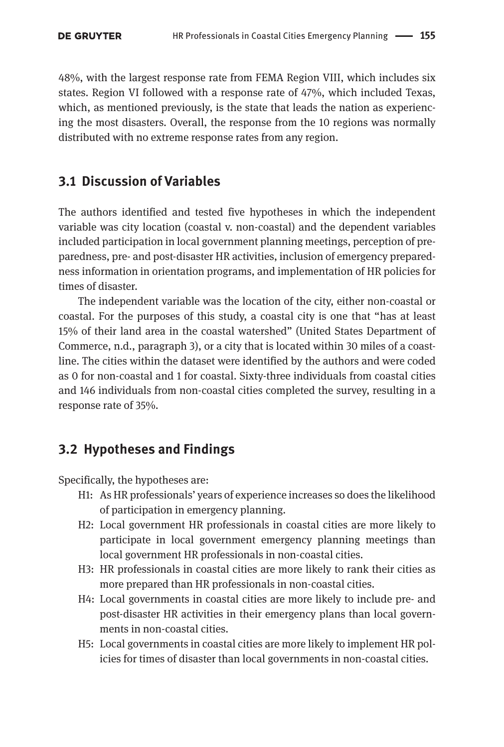48%, with the largest response rate from FEMA Region VIII, which includes six states. Region VI followed with a response rate of 47%, which included Texas, which, as mentioned previously, is the state that leads the nation as experiencing the most disasters. Overall, the response from the 10 regions was normally distributed with no extreme response rates from any region.

### **3.1 Discussion of Variables**

The authors identified and tested five hypotheses in which the independent variable was city location (coastal v. non-coastal) and the dependent variables included participation in local government planning meetings, perception of preparedness, pre- and post-disaster HR activities, inclusion of emergency preparedness information in orientation programs, and implementation of HR policies for times of disaster.

The independent variable was the location of the city, either non-coastal or coastal. For the purposes of this study, a coastal city is one that "has at least 15% of their land area in the coastal watershed" (United States Department of Commerce, n.d., paragraph 3), or a city that is located within 30 miles of a coastline. The cities within the dataset were identified by the authors and were coded as 0 for non-coastal and 1 for coastal. Sixty-three individuals from coastal cities and 146 individuals from non-coastal cities completed the survey, resulting in a response rate of 35%.

### **3.2 Hypotheses and Findings**

Specifically, the hypotheses are:

- H1: As HR professionals' years of experience increases so does the likelihood of participation in emergency planning.
- H2: Local government HR professionals in coastal cities are more likely to participate in local government emergency planning meetings than local government HR professionals in non-coastal cities.
- H3: HR professionals in coastal cities are more likely to rank their cities as more prepared than HR professionals in non-coastal cities.
- H4: Local governments in coastal cities are more likely to include pre- and post-disaster HR activities in their emergency plans than local governments in non-coastal cities.
- H5: Local governments in coastal cities are more likely to implement HR policies for times of disaster than local governments in non-coastal cities.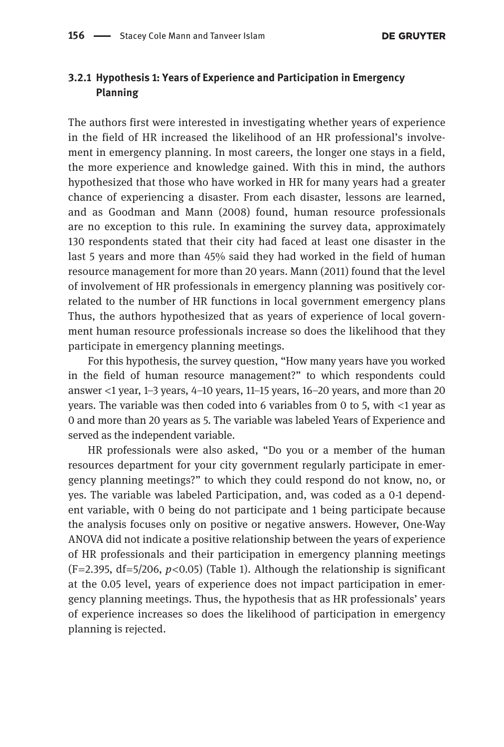#### **3.2.1 Hypothesis 1: Years of Experience and Participation in Emergency Planning**

The authors first were interested in investigating whether years of experience in the field of HR increased the likelihood of an HR professional's involvement in emergency planning. In most careers, the longer one stays in a field, the more experience and knowledge gained. With this in mind, the authors hypothesized that those who have worked in HR for many years had a greater chance of experiencing a disaster. From each disaster, lessons are learned, and as Goodman and Mann (2008) found, human resource professionals are no exception to this rule. In examining the survey data, approximately 130 respondents stated that their city had faced at least one disaster in the last 5 years and more than 45% said they had worked in the field of human resource management for more than 20 years. Mann (2011) found that the level of involvement of HR professionals in emergency planning was positively correlated to the number of HR functions in local government emergency plans Thus, the authors hypothesized that as years of experience of local government human resource professionals increase so does the likelihood that they participate in emergency planning meetings.

For this hypothesis, the survey question, "How many years have you worked in the field of human resource management?" to which respondents could answer  $\leq 1$  year, 1–3 years, 4–10 years, 11–15 years, 16–20 years, and more than 20 years. The variable was then coded into 6 variables from 0 to 5, with  $\leq$  1 year as 0 and more than 20 years as 5. The variable was labeled Years of Experience and served as the independent variable.

HR professionals were also asked, "Do you or a member of the human resources department for your city government regularly participate in emergency planning meetings?" to which they could respond do not know, no, or yes. The variable was labeled Participation, and, was coded as a 0-1 dependent variable, with 0 being do not participate and 1 being participate because the analysis focuses only on positive or negative answers. However, One-Way ANOVA did not indicate a positive relationship between the years of experience of HR professionals and their participation in emergency planning meetings  $(F=2.395, df=5/206, p<0.05)$  (Table 1). Although the relationship is significant at the 0.05 level, years of experience does not impact participation in emergency planning meetings. Thus, the hypothesis that as HR professionals' years of experience increases so does the likelihood of participation in emergency planning is rejected.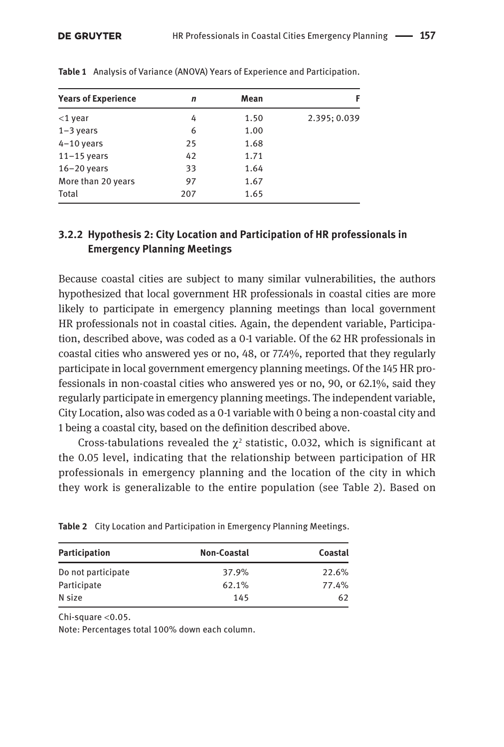| <b>Years of Experience</b> | n   | Mean |              |
|----------------------------|-----|------|--------------|
| $<$ 1 year                 | 4   | 1.50 | 2.395; 0.039 |
| $1 - 3$ years              | 6   | 1.00 |              |
| $4-10$ years               | 25  | 1.68 |              |
| $11-15$ years              | 42  | 1.71 |              |
| $16 - 20$ years            | 33  | 1.64 |              |
| More than 20 years         | 97  | 1.67 |              |
| Total                      | 207 | 1.65 |              |

**Table 1** Analysis of Variance (ANOVA) Years of Experience and Participation.

#### **3.2.2 Hypothesis 2: City Location and Participation of HR professionals in Emergency Planning Meetings**

Because coastal cities are subject to many similar vulnerabilities, the authors hypothesized that local government HR professionals in coastal cities are more likely to participate in emergency planning meetings than local government HR professionals not in coastal cities. Again, the dependent variable, Participation, described above, was coded as a 0-1 variable. Of the 62 HR professionals in coastal cities who answered yes or no, 48, or 77.4%, reported that they regularly participate in local government emergency planning meetings. Of the 145 HR professionals in non-coastal cities who answered yes or no, 90, or 62.1%, said they regularly participate in emergency planning meetings. The independent variable, City Location, also was coded as a 0-1 variable with 0 being a non-coastal city and 1 being a coastal city, based on the definition described above.

Cross-tabulations revealed the  $\chi^2$  statistic, 0.032, which is significant at the 0.05 level, indicating that the relationship between participation of HR professionals in emergency planning and the location of the city in which they work is generalizable to the entire population (see Table 2). Based on

| Participation      | <b>Non-Coastal</b> | Coastal |  |
|--------------------|--------------------|---------|--|
| Do not participate | 37.9%              | 22.6%   |  |
| Participate        | 62.1%              | 77.4%   |  |
| N size             | 145                | 62      |  |

**Table 2** City Location and Participation in Emergency Planning Meetings.

Chi-square  $<$  0.05.

Note: Percentages total 100% down each column.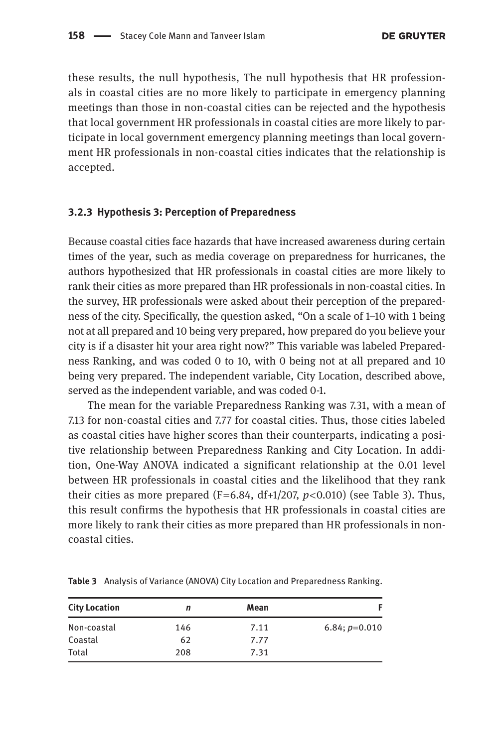these results, the null hypothesis, The null hypothesis that HR professionals in coastal cities are no more likely to participate in emergency planning meetings than those in non-coastal cities can be rejected and the hypothesis that local government HR professionals in coastal cities are more likely to participate in local government emergency planning meetings than local government HR professionals in non-coastal cities indicates that the relationship is accepted.

#### **3.2.3 Hypothesis 3: Perception of Preparedness**

Because coastal cities face hazards that have increased awareness during certain times of the year, such as media coverage on preparedness for hurricanes, the authors hypothesized that HR professionals in coastal cities are more likely to rank their cities as more prepared than HR professionals in non-coastal cities. In the survey, HR professionals were asked about their perception of the preparedness of the city. Specifically, the question asked, "On a scale of 1–10 with 1 being not at all prepared and 10 being very prepared, how prepared do you believe your city is if a disaster hit your area right now?" This variable was labeled Preparedness Ranking, and was coded 0 to 10, with 0 being not at all prepared and 10 being very prepared. The independent variable, City Location, described above, served as the independent variable, and was coded 0-1.

The mean for the variable Preparedness Ranking was 7.31, with a mean of 7.13 for non-coastal cities and 7.77 for coastal cities. Thus, those cities labeled as coastal cities have higher scores than their counterparts, indicating a positive relationship between Preparedness Ranking and City Location. In addition, One-Way ANOVA indicated a significant relationship at the 0.01 level between HR professionals in coastal cities and the likelihood that they rank their cities as more prepared  $(F=6.84, df+1/207, p<0.010)$  (see Table 3). Thus, this result confirms the hypothesis that HR professionals in coastal cities are more likely to rank their cities as more prepared than HR professionals in noncoastal cities.

| <b>City Location</b> | n   | Mean |                 |
|----------------------|-----|------|-----------------|
| Non-coastal          | 146 | 7.11 | $6.84; p=0.010$ |
| Coastal              | 62  | 7.77 |                 |
| Total                | 208 | 7.31 |                 |
|                      |     |      |                 |

**Table 3** Analysis of Variance (ANOVA) City Location and Preparedness Ranking.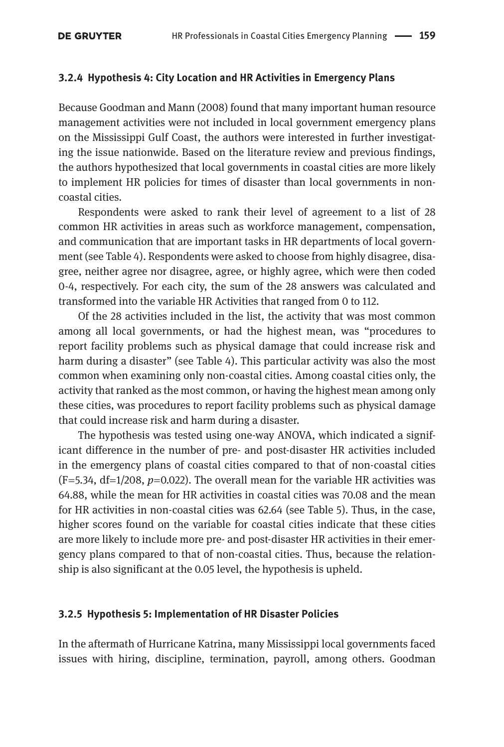#### **3.2.4 Hypothesis 4: City Location and HR Activities in Emergency Plans**

Because Goodman and Mann (2008) found that many important human resource management activities were not included in local government emergency plans on the Mississippi Gulf Coast, the authors were interested in further investigating the issue nationwide. Based on the literature review and previous findings, the authors hypothesized that local governments in coastal cities are more likely to implement HR policies for times of disaster than local governments in noncoastal cities.

Respondents were asked to rank their level of agreement to a list of 28 common HR activities in areas such as workforce management, compensation, and communication that are important tasks in HR departments of local government (see Table 4). Respondents were asked to choose from highly disagree, disagree, neither agree nor disagree, agree, or highly agree, which were then coded 0-4, respectively. For each city, the sum of the 28 answers was calculated and transformed into the variable HR Activities that ranged from 0 to 112.

Of the 28 activities included in the list, the activity that was most common among all local governments, or had the highest mean, was "procedures to report facility problems such as physical damage that could increase risk and harm during a disaster" (see Table 4). This particular activity was also the most common when examining only non-coastal cities. Among coastal cities only, the activity that ranked as the most common, or having the highest mean among only these cities, was procedures to report facility problems such as physical damage that could increase risk and harm during a disaster.

The hypothesis was tested using one-way ANOVA, which indicated a significant difference in the number of pre- and post-disaster HR activities included in the emergency plans of coastal cities compared to that of non-coastal cities  $(F=5.34, df=1/208, p=0.022)$ . The overall mean for the variable HR activities was 64.88, while the mean for HR activities in coastal cities was 70.08 and the mean for HR activities in non-coastal cities was 62.64 (see Table 5). Thus, in the case, higher scores found on the variable for coastal cities indicate that these cities are more likely to include more pre- and post-disaster HR activities in their emergency plans compared to that of non-coastal cities. Thus, because the relationship is also significant at the 0.05 level, the hypothesis is upheld.

#### **3.2.5 Hypothesis 5: Implementation of HR Disaster Policies**

In the aftermath of Hurricane Katrina, many Mississippi local governments faced issues with hiring, discipline, termination, payroll, among others. Goodman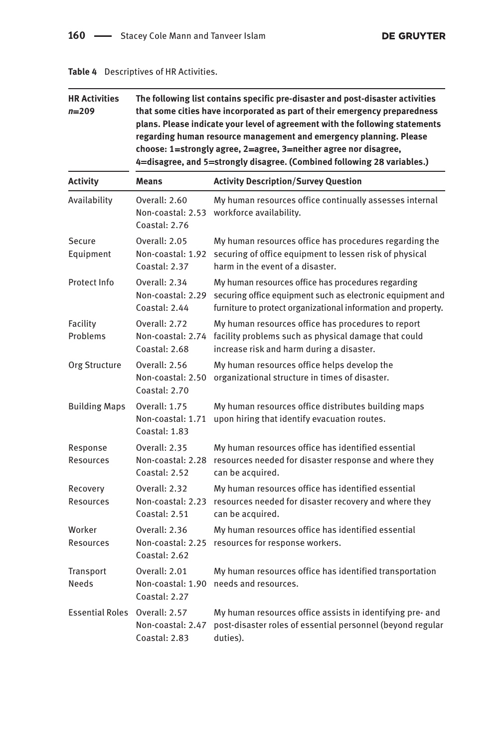#### **Table 4** Descriptives of HR Activities.

| <b>HR Activities</b><br>$n = 209$ | The following list contains specific pre-disaster and post-disaster activities<br>that some cities have incorporated as part of their emergency preparedness<br>plans. Please indicate your level of agreement with the following statements<br>regarding human resource management and emergency planning. Please<br>choose: 1=strongly agree, 2=agree, 3=neither agree nor disagree,<br>4=disagree, and 5=strongly disagree. (Combined following 28 variables.) |                                                                                                                                                                                   |  |
|-----------------------------------|-------------------------------------------------------------------------------------------------------------------------------------------------------------------------------------------------------------------------------------------------------------------------------------------------------------------------------------------------------------------------------------------------------------------------------------------------------------------|-----------------------------------------------------------------------------------------------------------------------------------------------------------------------------------|--|
| <b>Activity</b>                   | <b>Means</b>                                                                                                                                                                                                                                                                                                                                                                                                                                                      | <b>Activity Description/Survey Question</b>                                                                                                                                       |  |
| Availability                      | Overall: 2.60<br>Non-coastal: 2.53<br>Coastal: 2.76                                                                                                                                                                                                                                                                                                                                                                                                               | My human resources office continually assesses internal<br>workforce availability.                                                                                                |  |
| Secure<br>Equipment               | Overall: 2.05<br>Non-coastal: 1.92<br>Coastal: 2.37                                                                                                                                                                                                                                                                                                                                                                                                               | My human resources office has procedures regarding the<br>securing of office equipment to lessen risk of physical<br>harm in the event of a disaster.                             |  |
| Protect Info                      | Overall: 2.34<br>Non-coastal: 2.29<br>Coastal: 2.44                                                                                                                                                                                                                                                                                                                                                                                                               | My human resources office has procedures regarding<br>securing office equipment such as electronic equipment and<br>furniture to protect organizational information and property. |  |
| Facility<br>Problems              | Overall: 2.72<br>Non-coastal: 2.74<br>Coastal: 2.68                                                                                                                                                                                                                                                                                                                                                                                                               | My human resources office has procedures to report<br>facility problems such as physical damage that could<br>increase risk and harm during a disaster.                           |  |
| Org Structure                     | Overall: 2.56<br>Non-coastal: 2.50<br>Coastal: 2.70                                                                                                                                                                                                                                                                                                                                                                                                               | My human resources office helps develop the<br>organizational structure in times of disaster.                                                                                     |  |
| <b>Building Maps</b>              | Overall: 1.75<br>Non-coastal: 1.71<br>Coastal: 1.83                                                                                                                                                                                                                                                                                                                                                                                                               | My human resources office distributes building maps<br>upon hiring that identify evacuation routes.                                                                               |  |
| Response<br>Resources             | Overall: 2.35<br>Non-coastal: 2.28<br>Coastal: 2.52                                                                                                                                                                                                                                                                                                                                                                                                               | My human resources office has identified essential<br>resources needed for disaster response and where they<br>can be acquired.                                                   |  |
| Recovery<br>Resources             | Overall: 2.32<br>Non-coastal: 2.23<br>Coastal: 2.51                                                                                                                                                                                                                                                                                                                                                                                                               | My human resources office has identified essential<br>resources needed for disaster recovery and where they<br>can be acquired.                                                   |  |
| Worker<br>Resources               | Overall: 2.36<br>Non-coastal: 2.25<br>Coastal: 2.62                                                                                                                                                                                                                                                                                                                                                                                                               | My human resources office has identified essential<br>resources for response workers.                                                                                             |  |
| Transport<br>Needs                | Overall: 2.01<br>Non-coastal: 1.90<br>Coastal: 2.27                                                                                                                                                                                                                                                                                                                                                                                                               | My human resources office has identified transportation<br>needs and resources.                                                                                                   |  |
| Essential Roles                   | Overall: 2.57<br>Non-coastal: 2.47<br>Coastal: 2.83                                                                                                                                                                                                                                                                                                                                                                                                               | My human resources office assists in identifying pre- and<br>post-disaster roles of essential personnel (beyond regular<br>duties).                                               |  |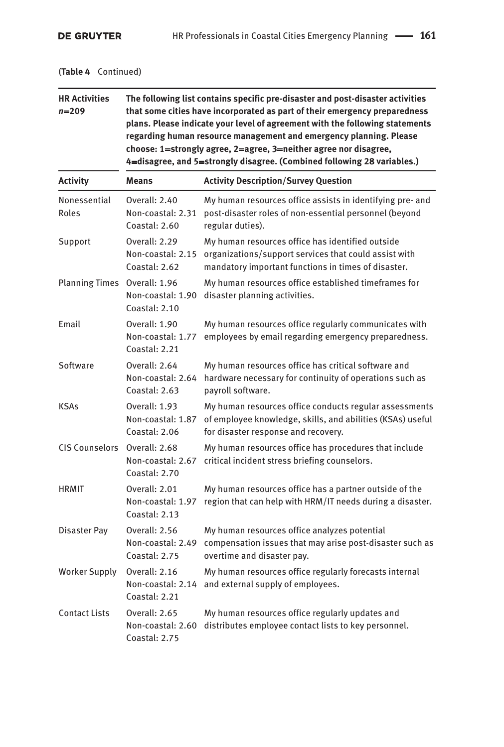(**Table 4** Continued)

| <b>HR Activities</b><br>$n = 209$ | The following list contains specific pre-disaster and post-disaster activities<br>that some cities have incorporated as part of their emergency preparedness<br>plans. Please indicate your level of agreement with the following statements<br>regarding human resource management and emergency planning. Please<br>choose: 1=strongly agree, 2=agree, 3=neither agree nor disagree,<br>4=disagree, and 5=strongly disagree. (Combined following 28 variables.) |                                                                                                                                                                  |  |
|-----------------------------------|-------------------------------------------------------------------------------------------------------------------------------------------------------------------------------------------------------------------------------------------------------------------------------------------------------------------------------------------------------------------------------------------------------------------------------------------------------------------|------------------------------------------------------------------------------------------------------------------------------------------------------------------|--|
| Activity                          | <b>Means</b>                                                                                                                                                                                                                                                                                                                                                                                                                                                      | <b>Activity Description/Survey Question</b>                                                                                                                      |  |
| Nonessential<br>Roles             | Overall: 2.40<br>Non-coastal: 2.31<br>Coastal: 2.60                                                                                                                                                                                                                                                                                                                                                                                                               | My human resources office assists in identifying pre- and<br>post-disaster roles of non-essential personnel (beyond<br>regular duties).                          |  |
| Support                           | Overall: 2.29<br>Non-coastal: 2.15<br>Coastal: 2.62                                                                                                                                                                                                                                                                                                                                                                                                               | My human resources office has identified outside<br>organizations/support services that could assist with<br>mandatory important functions in times of disaster. |  |
| Planning Times Overall: 1.96      | Non-coastal: 1.90<br>Coastal: 2.10                                                                                                                                                                                                                                                                                                                                                                                                                                | My human resources office established timeframes for<br>disaster planning activities.                                                                            |  |
| Email                             | Overall: 1.90<br>Non-coastal: 1.77<br>Coastal: 2.21                                                                                                                                                                                                                                                                                                                                                                                                               | My human resources office regularly communicates with<br>employees by email regarding emergency preparedness.                                                    |  |
| Software                          | Overall: 2.64<br>Non-coastal: 2.64<br>Coastal: 2.63                                                                                                                                                                                                                                                                                                                                                                                                               | My human resources office has critical software and<br>hardware necessary for continuity of operations such as<br>payroll software.                              |  |
| <b>KSAs</b>                       | Overall: 1.93<br>Non-coastal: 1.87<br>Coastal: 2.06                                                                                                                                                                                                                                                                                                                                                                                                               | My human resources office conducts regular assessments<br>of employee knowledge, skills, and abilities (KSAs) useful<br>for disaster response and recovery.      |  |
| CIS Counselors                    | Overall: 2.68<br>Non-coastal: 2.67<br>Coastal: 2.70                                                                                                                                                                                                                                                                                                                                                                                                               | My human resources office has procedures that include<br>critical incident stress briefing counselors.                                                           |  |
| <b>HRMIT</b>                      | Overall: 2.01<br>Non-coastal: 1.97<br>Coastal: 2.13                                                                                                                                                                                                                                                                                                                                                                                                               | My human resources office has a partner outside of the<br>region that can help with HRM/IT needs during a disaster.                                              |  |
| Disaster Pay                      | Overall: 2.56<br>Non-coastal: 2.49<br>Coastal: 2.75                                                                                                                                                                                                                                                                                                                                                                                                               | My human resources office analyzes potential<br>compensation issues that may arise post-disaster such as<br>overtime and disaster pay.                           |  |
| <b>Worker Supply</b>              | Overall: 2.16<br>Non-coastal: 2.14<br>Coastal: 2.21                                                                                                                                                                                                                                                                                                                                                                                                               | My human resources office regularly forecasts internal<br>and external supply of employees.                                                                      |  |
| <b>Contact Lists</b>              | Overall: 2.65<br>Non-coastal: 2.60<br>Coastal: 2.75                                                                                                                                                                                                                                                                                                                                                                                                               | My human resources office regularly updates and<br>distributes employee contact lists to key personnel.                                                          |  |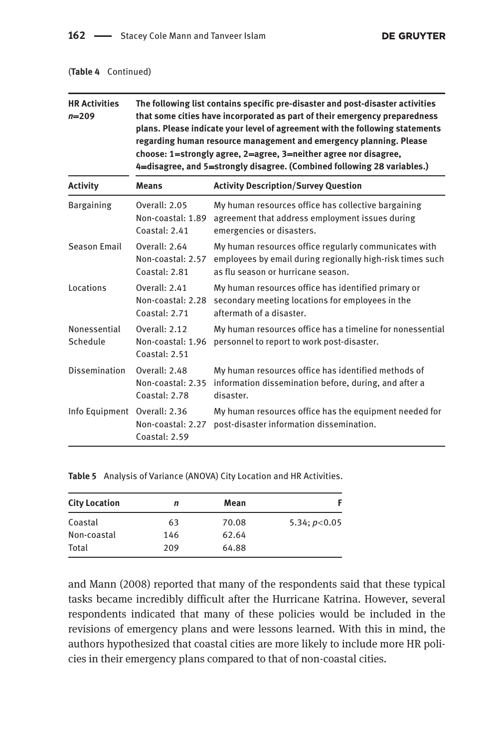#### (**Table 4** Continued)

| <b>HR Activities</b><br>$n = 209$ | The following list contains specific pre-disaster and post-disaster activities<br>that some cities have incorporated as part of their emergency preparedness<br>plans. Please indicate your level of agreement with the following statements<br>regarding human resource management and emergency planning. Please<br>choose: 1=strongly agree, 2=agree, 3=neither agree nor disagree,<br>4=disagree, and 5=strongly disagree. (Combined following 28 variables.) |                                                                                                                                                          |  |
|-----------------------------------|-------------------------------------------------------------------------------------------------------------------------------------------------------------------------------------------------------------------------------------------------------------------------------------------------------------------------------------------------------------------------------------------------------------------------------------------------------------------|----------------------------------------------------------------------------------------------------------------------------------------------------------|--|
| <b>Activity</b>                   | <b>Means</b>                                                                                                                                                                                                                                                                                                                                                                                                                                                      | <b>Activity Description/Survey Question</b>                                                                                                              |  |
| <b>Bargaining</b>                 | Overall: 2.05<br>Non-coastal: 1.89<br>Coastal: 2.41                                                                                                                                                                                                                                                                                                                                                                                                               | My human resources office has collective bargaining<br>agreement that address employment issues during<br>emergencies or disasters.                      |  |
| Season Email                      | Overall: 2.64<br>Non-coastal: 2.57<br>Coastal: 2.81                                                                                                                                                                                                                                                                                                                                                                                                               | My human resources office regularly communicates with<br>employees by email during regionally high-risk times such<br>as flu season or hurricane season. |  |
| Locations                         | Overall: 2.41<br>Non-coastal: 2.28<br>Coastal: 2.71                                                                                                                                                                                                                                                                                                                                                                                                               | My human resources office has identified primary or<br>secondary meeting locations for employees in the<br>aftermath of a disaster.                      |  |
| Nonessential<br>Schedule          | Overall: 2.12<br>Non-coastal: 1.96<br>Coastal: 2.51                                                                                                                                                                                                                                                                                                                                                                                                               | My human resources office has a timeline for nonessential<br>personnel to report to work post-disaster.                                                  |  |
| Dissemination                     | Overall: 2.48<br>Non-coastal: 2.35<br>Coastal: 2.78                                                                                                                                                                                                                                                                                                                                                                                                               | My human resources office has identified methods of<br>information dissemination before, during, and after a<br>disaster.                                |  |
| Info Equipment Overall: 2.36      | Non-coastal: 2.27<br>Coastal: 2.59                                                                                                                                                                                                                                                                                                                                                                                                                                | My human resources office has the equipment needed for<br>post-disaster information dissemination.                                                       |  |

**Table 5** Analysis of Variance (ANOVA) City Location and HR Activities.

| <b>City Location</b> | n   | Mean  | F.             |
|----------------------|-----|-------|----------------|
| Coastal              | 63  | 70.08 | 5.34; $p<0.05$ |
| Non-coastal          | 146 | 62.64 |                |
| Total                | 209 | 64.88 |                |

and Mann (2008) reported that many of the respondents said that these typical tasks became incredibly difficult after the Hurricane Katrina. However, several respondents indicated that many of these policies would be included in the revisions of emergency plans and were lessons learned. With this in mind, the authors hypothesized that coastal cities are more likely to include more HR policies in their emergency plans compared to that of non-coastal cities.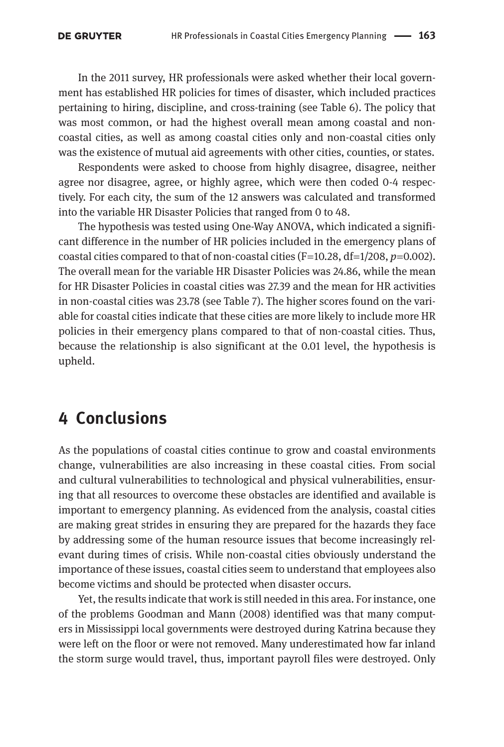In the 2011 survey, HR professionals were asked whether their local government has established HR policies for times of disaster, which included practices pertaining to hiring, discipline, and cross-training (see Table 6). The policy that was most common, or had the highest overall mean among coastal and noncoastal cities, as well as among coastal cities only and non-coastal cities only was the existence of mutual aid agreements with other cities, counties, or states.

Respondents were asked to choose from highly disagree, disagree, neither agree nor disagree, agree, or highly agree, which were then coded 0-4 respectively. For each city, the sum of the 12 answers was calculated and transformed into the variable HR Disaster Policies that ranged from 0 to 48.

The hypothesis was tested using One-Way ANOVA, which indicated a significant difference in the number of HR policies included in the emergency plans of coastal cities compared to that of non-coastal cities (F=10.28, df=1/208, *p*=0.002). The overall mean for the variable HR Disaster Policies was 24.86, while the mean for HR Disaster Policies in coastal cities was 27.39 and the mean for HR activities in non-coastal cities was 23.78 (see Table 7). The higher scores found on the variable for coastal cities indicate that these cities are more likely to include more HR policies in their emergency plans compared to that of non-coastal cities. Thus, because the relationship is also significant at the 0.01 level, the hypothesis is upheld.

# **4 Conclusions**

As the populations of coastal cities continue to grow and coastal environments change, vulnerabilities are also increasing in these coastal cities. From social and cultural vulnerabilities to technological and physical vulnerabilities, ensuring that all resources to overcome these obstacles are identified and available is important to emergency planning. As evidenced from the analysis, coastal cities are making great strides in ensuring they are prepared for the hazards they face by addressing some of the human resource issues that become increasingly relevant during times of crisis. While non-coastal cities obviously understand the importance of these issues, coastal cities seem to understand that employees also become victims and should be protected when disaster occurs.

Yet, the results indicate that work is still needed in this area. For instance, one of the problems Goodman and Mann (2008) identified was that many computers in Mississippi local governments were destroyed during Katrina because they were left on the floor or were not removed. Many underestimated how far inland the storm surge would travel, thus, important payroll files were destroyed. Only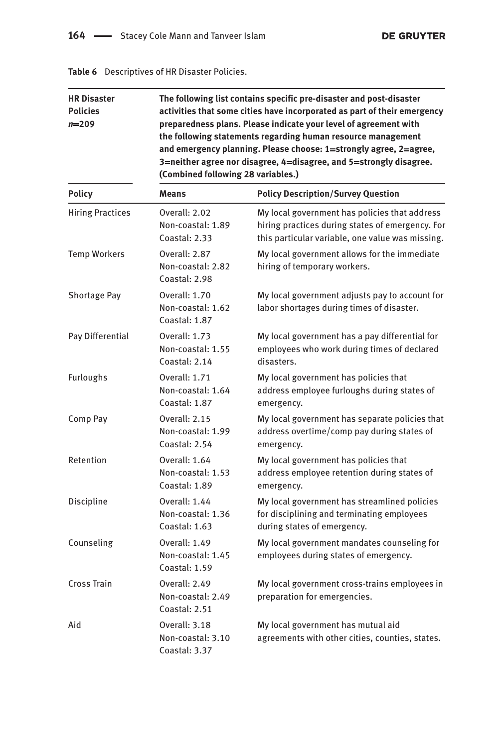#### **Table 6** Descriptives of HR Disaster Policies.

| <b>HR Disaster</b> | The following list contains specific pre-disaster and post-disaster      |
|--------------------|--------------------------------------------------------------------------|
| <b>Policies</b>    | activities that some cities have incorporated as part of their emergency |
| n=209              | preparedness plans. Please indicate your level of agreement with         |
|                    | the following statements regarding human resource management             |
|                    | and emergency planning. Please choose: 1=strongly agree, 2=agree,        |
|                    | 3=neither agree nor disagree, 4=disagree, and 5=strongly disagree.       |
|                    | (Combined following 28 variables.)                                       |
|                    |                                                                          |

| <b>Policy</b>           | Means                                               | <b>Policy Description/Survey Question</b>                                                                                                             |  |
|-------------------------|-----------------------------------------------------|-------------------------------------------------------------------------------------------------------------------------------------------------------|--|
| <b>Hiring Practices</b> | Overall: 2.02<br>Non-coastal: 1.89<br>Coastal: 2.33 | My local government has policies that address<br>hiring practices during states of emergency. For<br>this particular variable, one value was missing. |  |
| <b>Temp Workers</b>     | Overall: 2.87<br>Non-coastal: 2.82<br>Coastal: 2.98 | My local government allows for the immediate<br>hiring of temporary workers.                                                                          |  |
| <b>Shortage Pay</b>     | Overall: 1.70<br>Non-coastal: 1.62<br>Coastal: 1.87 | My local government adjusts pay to account for<br>labor shortages during times of disaster.                                                           |  |
| Pay Differential        | Overall: 1.73<br>Non-coastal: 1.55<br>Coastal: 2.14 | My local government has a pay differential for<br>employees who work during times of declared<br>disasters.                                           |  |
| Furloughs               | Overall: 1.71<br>Non-coastal: 1.64<br>Coastal: 1.87 | My local government has policies that<br>address employee furloughs during states of<br>emergency.                                                    |  |
| Comp Pay                | Overall: 2.15<br>Non-coastal: 1.99<br>Coastal: 2.54 | My local government has separate policies that<br>address overtime/comp pay during states of<br>emergency.                                            |  |
| Retention               | Overall: 1.64<br>Non-coastal: 1.53<br>Coastal: 1.89 | My local government has policies that<br>address employee retention during states of<br>emergency.                                                    |  |
| Discipline              | Overall: 1.44<br>Non-coastal: 1.36<br>Coastal: 1.63 | My local government has streamlined policies<br>for disciplining and terminating employees<br>during states of emergency.                             |  |
| Counseling              | Overall: 1.49<br>Non-coastal: 1.45<br>Coastal: 1.59 | My local government mandates counseling for<br>employees during states of emergency.                                                                  |  |
| Cross Train             | Overall: 2.49<br>Non-coastal: 2.49<br>Coastal: 2.51 | My local government cross-trains employees in<br>preparation for emergencies.                                                                         |  |
| Aid                     | Overall: 3.18<br>Non-coastal: 3.10<br>Coastal: 3.37 | My local government has mutual aid<br>agreements with other cities, counties, states.                                                                 |  |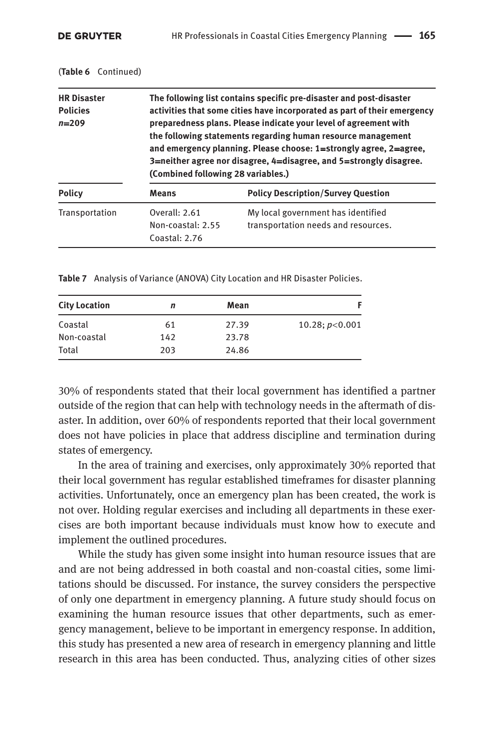| <b>HR Disaster</b><br><b>Policies</b><br>$n = 209$ | The following list contains specific pre-disaster and post-disaster<br>activities that some cities have incorporated as part of their emergency<br>preparedness plans. Please indicate your level of agreement with<br>the following statements regarding human resource management<br>and emergency planning. Please choose: 1=strongly agree, 2=agree,<br>3=neither agree nor disagree, 4=disagree, and 5=strongly disagree.<br>(Combined following 28 variables.) |                                                                           |
|----------------------------------------------------|----------------------------------------------------------------------------------------------------------------------------------------------------------------------------------------------------------------------------------------------------------------------------------------------------------------------------------------------------------------------------------------------------------------------------------------------------------------------|---------------------------------------------------------------------------|
| <b>Policy</b>                                      | <b>Means</b>                                                                                                                                                                                                                                                                                                                                                                                                                                                         | <b>Policy Description/Survey Question</b>                                 |
| Transportation                                     | Overall: 2.61<br>Non-coastal: 2.55<br>Coastal: 2.76                                                                                                                                                                                                                                                                                                                                                                                                                  | My local government has identified<br>transportation needs and resources. |

(**Table 6** Continued)

**Table 7** Analysis of Variance (ANOVA) City Location and HR Disaster Policies.

| <b>City Location</b> | n   | Mean  |                    |
|----------------------|-----|-------|--------------------|
| Coastal              | 61  | 27.39 | 10.28; $p < 0.001$ |
| Non-coastal          | 142 | 23.78 |                    |
| Total                | 203 | 24.86 |                    |

30% of respondents stated that their local government has identified a partner outside of the region that can help with technology needs in the aftermath of disaster. In addition, over 60% of respondents reported that their local government does not have policies in place that address discipline and termination during states of emergency.

In the area of training and exercises, only approximately 30% reported that their local government has regular established timeframes for disaster planning activities. Unfortunately, once an emergency plan has been created, the work is not over. Holding regular exercises and including all departments in these exercises are both important because individuals must know how to execute and implement the outlined procedures.

While the study has given some insight into human resource issues that are and are not being addressed in both coastal and non-coastal cities, some limitations should be discussed. For instance, the survey considers the perspective of only one department in emergency planning. A future study should focus on examining the human resource issues that other departments, such as emergency management, believe to be important in emergency response. In addition, this study has presented a new area of research in emergency planning and little research in this area has been conducted. Thus, analyzing cities of other sizes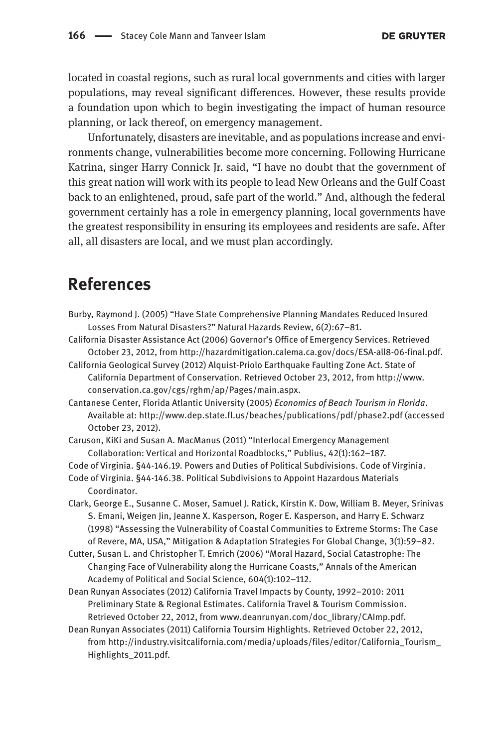located in coastal regions, such as rural local governments and cities with larger populations, may reveal significant differences. However, these results provide a foundation upon which to begin investigating the impact of human resource planning, or lack thereof, on emergency management.

Unfortunately, disasters are inevitable, and as populations increase and environments change, vulnerabilities become more concerning. Following Hurricane Katrina, singer Harry Connick Jr. said, "I have no doubt that the government of this great nation will work with its people to lead New Orleans and the Gulf Coast back to an enlightened, proud, safe part of the world." And, although the federal government certainly has a role in emergency planning, local governments have the greatest responsibility in ensuring its employees and residents are safe. After all, all disasters are local, and we must plan accordingly.

# **References**

- Burby, Raymond J. (2005) "Have State Comprehensive Planning Mandates Reduced Insured Losses From Natural Disasters?" Natural Hazards Review, 6(2):67–81.
- California Disaster Assistance Act (2006) Governor's Office of Emergency Services. Retrieved October 23, 2012, from http://hazardmitigation.calema.ca.gov/docs/ESA-all8-06-final.pdf.
- California Geological Survey (2012) Alquist-Priolo Earthquake Faulting Zone Act. State of California Department of Conservation. Retrieved October 23, 2012, from http://www. conservation.ca.gov/cgs/rghm/ap/Pages/main.aspx.
- Cantanese Center, Florida Atlantic University (2005) *Economics of Beach Tourism in Florida*. Available at: http://www.dep.state.fl.us/beaches/publications/pdf/phase2.pdf (accessed October 23, 2012).
- Caruson, KiKi and Susan A. MacManus (2011) "Interlocal Emergency Management Collaboration: Vertical and Horizontal Roadblocks," Publius, 42(1):162–187.

Code of Virginia. §44-146.19. Powers and Duties of Political Subdivisions. Code of Virginia.

- Code of Virginia. §44-146.38. Political Subdivisions to Appoint Hazardous Materials Coordinator.
- Clark, George E., Susanne C. Moser, Samuel J. Ratick, Kirstin K. Dow, William B. Meyer, Srinivas S. Emani, Weigen Jin, Jeanne X. Kasperson, Roger E. Kasperson, and Harry E. Schwarz (1998) "Assessing the Vulnerability of Coastal Communities to Extreme Storms: The Case of Revere, MA, USA," Mitigation & Adaptation Strategies For Global Change, 3(1):59–82.
- Cutter, Susan L. and Christopher T. Emrich (2006) "Moral Hazard, Social Catastrophe: The Changing Face of Vulnerability along the Hurricane Coasts," Annals of the American Academy of Political and Social Science, 604(1):102–112.

Dean Runyan Associates (2012) California Travel Impacts by County, 1992–2010: 2011 Preliminary State & Regional Estimates. California Travel & Tourism Commission. Retrieved October 22, 2012, from www.deanrunyan.com/doc\_library/CAImp.pdf.

Dean Runyan Associates (2011) California Toursim Highlights. Retrieved October 22, 2012, from http://industry.visitcalifornia.com/media/uploads/files/editor/California\_Tourism\_ Highlights\_2011.pdf.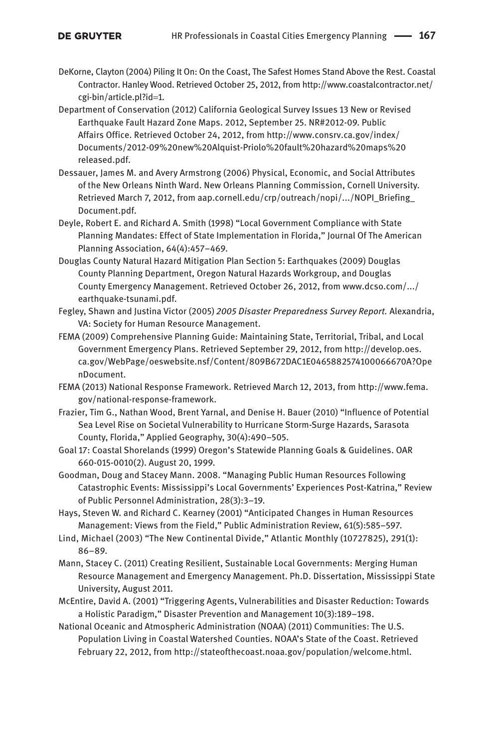- DeKorne, Clayton (2004) Piling It On: On the Coast, The Safest Homes Stand Above the Rest. Coastal Contractor. Hanley Wood. Retrieved October 25, 2012, from http://www.coastalcontractor.net/ cgi-bin/article.pl?id=1.
- Department of Conservation (2012) California Geological Survey Issues 13 New or Revised Earthquake Fault Hazard Zone Maps. 2012, September 25. NR#2012-09. Public Affairs Office. Retrieved October 24, 2012, from http://www.consrv.ca.gov/index/ Documents/2012-09%20new%20Alquist-Priolo%20fault%20hazard%20maps%20 released.pdf.
- Dessauer, James M. and Avery Armstrong (2006) Physical, Economic, and Social Attributes of the New Orleans Ninth Ward. New Orleans Planning Commission, Cornell University. Retrieved March 7, 2012, from aap.cornell.edu/crp/outreach/nopi/.../NOPI\_Briefing\_ Document.pdf.
- Deyle, Robert E. and Richard A. Smith (1998) "Local Government Compliance with State Planning Mandates: Effect of State Implementation in Florida," Journal Of The American Planning Association, 64(4):457–469.
- Douglas County Natural Hazard Mitigation Plan Section 5: Earthquakes (2009) Douglas County Planning Department, Oregon Natural Hazards Workgroup, and Douglas County Emergency Management. Retrieved October 26, 2012, from www.dcso.com/.../ earthquake-tsunami.pdf.
- Fegley, Shawn and Justina Victor (2005) *2005 Disaster Preparedness Survey Report.* Alexandria, VA: Society for Human Resource Management.
- FEMA (2009) Comprehensive Planning Guide: Maintaining State, Territorial, Tribal, and Local Government Emergency Plans. Retrieved September 29, 2012, from http://develop.oes. ca.gov/WebPage/oeswebsite.nsf/Content/809B672DAC1E0465882574100066670A?Ope nDocument.
- FEMA (2013) National Response Framework. Retrieved March 12, 2013, from http://www.fema. gov/national-response-framework.
- Frazier, Tim G., Nathan Wood, Brent Yarnal, and Denise H. Bauer (2010) "Influence of Potential Sea Level Rise on Societal Vulnerability to Hurricane Storm-Surge Hazards, Sarasota County, Florida," Applied Geography, 30(4):490–505.
- Goal 17: Coastal Shorelands (1999) Oregon's Statewide Planning Goals & Guidelines. OAR 660-015-0010(2). August 20, 1999.
- Goodman, Doug and Stacey Mann. 2008. "Managing Public Human Resources Following Catastrophic Events: Mississippi's Local Governments' Experiences Post-Katrina," Review of Public Personnel Administration, 28(3):3–19.
- Hays, Steven W. and Richard C. Kearney (2001) "Anticipated Changes in Human Resources Management: Views from the Field," Public Administration Review, 61(5):585–597.
- Lind, Michael (2003) "The New Continental Divide," Atlantic Monthly (10727825), 291(1): 86–89.
- Mann, Stacey C. (2011) Creating Resilient, Sustainable Local Governments: Merging Human Resource Management and Emergency Management. Ph.D. Dissertation, Mississippi State University, August 2011.
- McEntire, David A. (2001) "Triggering Agents, Vulnerabilities and Disaster Reduction: Towards a Holistic Paradigm," Disaster Prevention and Management 10(3):189–198.
- National Oceanic and Atmospheric Administration (NOAA) (2011) Communities: The U.S. Population Living in Coastal Watershed Counties. NOAA's State of the Coast. Retrieved February 22, 2012, from http://stateofthecoast.noaa.gov/population/welcome.html.